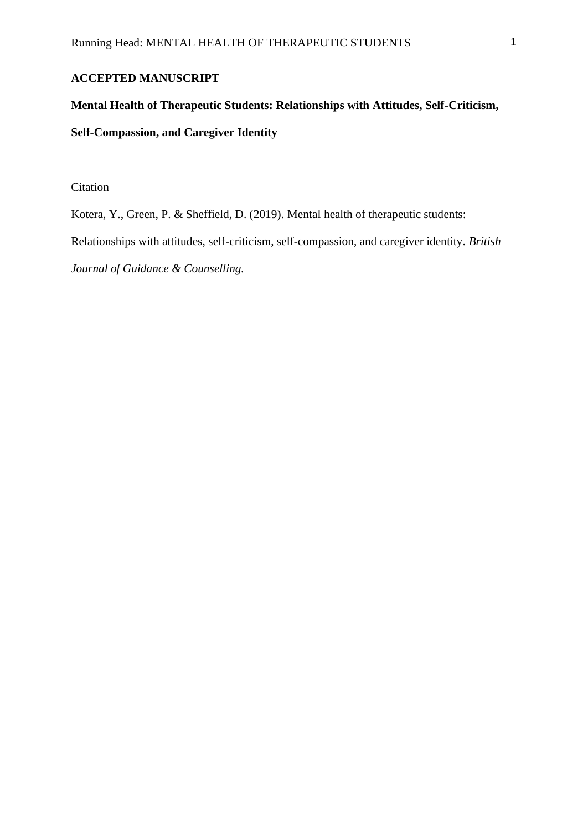### **ACCEPTED MANUSCRIPT**

# **Mental Health of Therapeutic Students: Relationships with Attitudes, Self-Criticism, Self-Compassion, and Caregiver Identity**

Citation

Kotera, Y., Green, P. & Sheffield, D. (2019). Mental health of therapeutic students:

Relationships with attitudes, self-criticism, self-compassion, and caregiver identity. *British* 

*Journal of Guidance & Counselling.*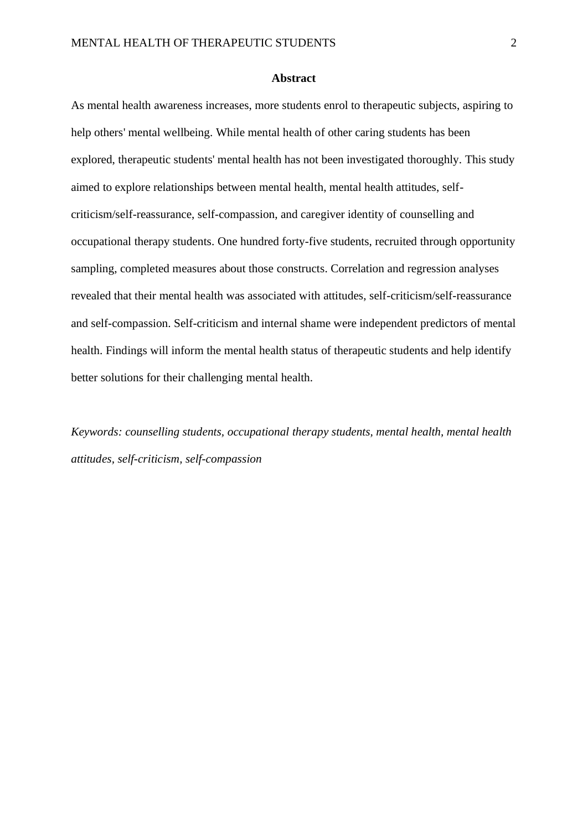#### **Abstract**

As mental health awareness increases, more students enrol to therapeutic subjects, aspiring to help others' mental wellbeing. While mental health of other caring students has been explored, therapeutic students' mental health has not been investigated thoroughly. This study aimed to explore relationships between mental health, mental health attitudes, selfcriticism/self-reassurance, self-compassion, and caregiver identity of counselling and occupational therapy students. One hundred forty-five students, recruited through opportunity sampling, completed measures about those constructs. Correlation and regression analyses revealed that their mental health was associated with attitudes, self-criticism/self-reassurance and self-compassion. Self-criticism and internal shame were independent predictors of mental health. Findings will inform the mental health status of therapeutic students and help identify better solutions for their challenging mental health.

*Keywords: counselling students, occupational therapy students, mental health, mental health attitudes, self-criticism, self-compassion*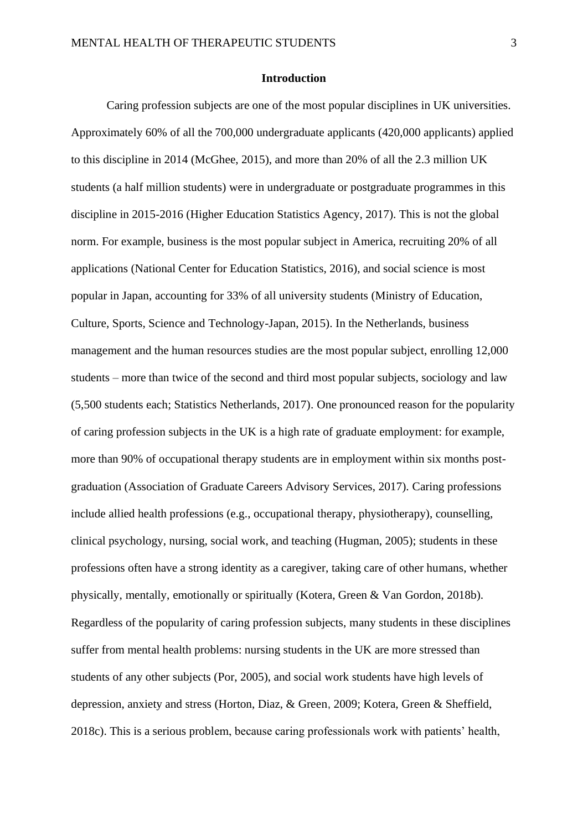#### **Introduction**

Caring profession subjects are one of the most popular disciplines in UK universities. Approximately 60% of all the 700,000 undergraduate applicants (420,000 applicants) applied to this discipline in 2014 (McGhee, 2015), and more than 20% of all the 2.3 million UK students (a half million students) were in undergraduate or postgraduate programmes in this discipline in 2015-2016 (Higher Education Statistics Agency, 2017). This is not the global norm. For example, business is the most popular subject in America, recruiting 20% of all applications (National Center for Education Statistics, 2016), and social science is most popular in Japan, accounting for 33% of all university students (Ministry of Education, Culture, Sports, Science and Technology-Japan, 2015). In the Netherlands, business management and the human resources studies are the most popular subject, enrolling 12,000 students – more than twice of the second and third most popular subjects, sociology and law (5,500 students each; Statistics Netherlands, 2017). One pronounced reason for the popularity of caring profession subjects in the UK is a high rate of graduate employment: for example, more than 90% of occupational therapy students are in employment within six months postgraduation (Association of Graduate Careers Advisory Services, 2017). Caring professions include allied health professions (e.g., occupational therapy, physiotherapy), counselling, clinical psychology, nursing, social work, and teaching (Hugman, 2005); students in these professions often have a strong identity as a caregiver, taking care of other humans, whether physically, mentally, emotionally or spiritually (Kotera, Green & Van Gordon, 2018b). Regardless of the popularity of caring profession subjects, many students in these disciplines suffer from mental health problems: nursing students in the UK are more stressed than students of any other subjects (Por, 2005), and social work students have high levels of depression, anxiety and stress (Horton, Diaz, & Green, 2009; Kotera, Green & Sheffield, 2018c). This is a serious problem, because caring professionals work with patients' health,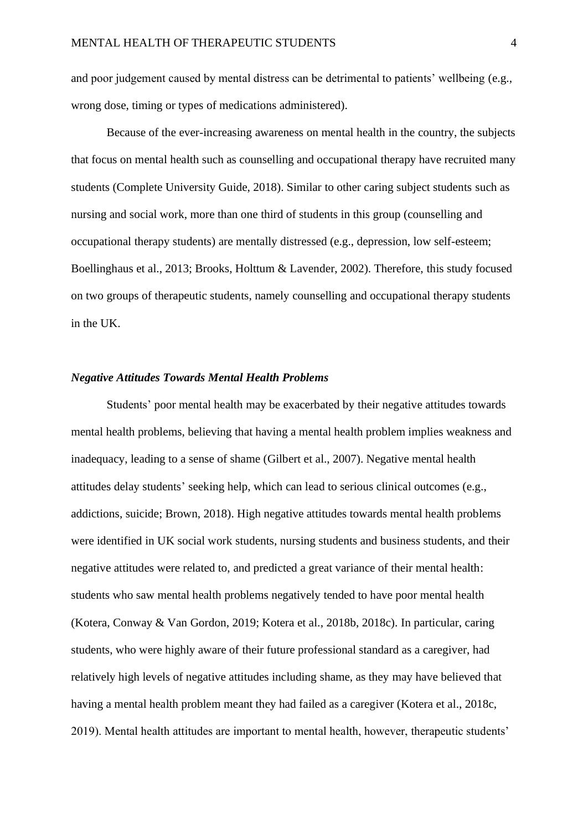and poor judgement caused by mental distress can be detrimental to patients' wellbeing (e.g., wrong dose, timing or types of medications administered).

Because of the ever-increasing awareness on mental health in the country, the subjects that focus on mental health such as counselling and occupational therapy have recruited many students (Complete University Guide, 2018). Similar to other caring subject students such as nursing and social work, more than one third of students in this group (counselling and occupational therapy students) are mentally distressed (e.g., depression, low self-esteem; Boellinghaus et al., 2013; Brooks, Holttum & Lavender, 2002). Therefore, this study focused on two groups of therapeutic students, namely counselling and occupational therapy students in the UK.

#### *Negative Attitudes Towards Mental Health Problems*

Students' poor mental health may be exacerbated by their negative attitudes towards mental health problems, believing that having a mental health problem implies weakness and inadequacy, leading to a sense of shame (Gilbert et al., 2007). Negative mental health attitudes delay students' seeking help, which can lead to serious clinical outcomes (e.g., addictions, suicide; Brown, 2018). High negative attitudes towards mental health problems were identified in UK social work students, nursing students and business students, and their negative attitudes were related to, and predicted a great variance of their mental health: students who saw mental health problems negatively tended to have poor mental health (Kotera, Conway & Van Gordon, 2019; Kotera et al., 2018b, 2018c). In particular, caring students, who were highly aware of their future professional standard as a caregiver, had relatively high levels of negative attitudes including shame, as they may have believed that having a mental health problem meant they had failed as a caregiver (Kotera et al., 2018c, 2019). Mental health attitudes are important to mental health, however, therapeutic students'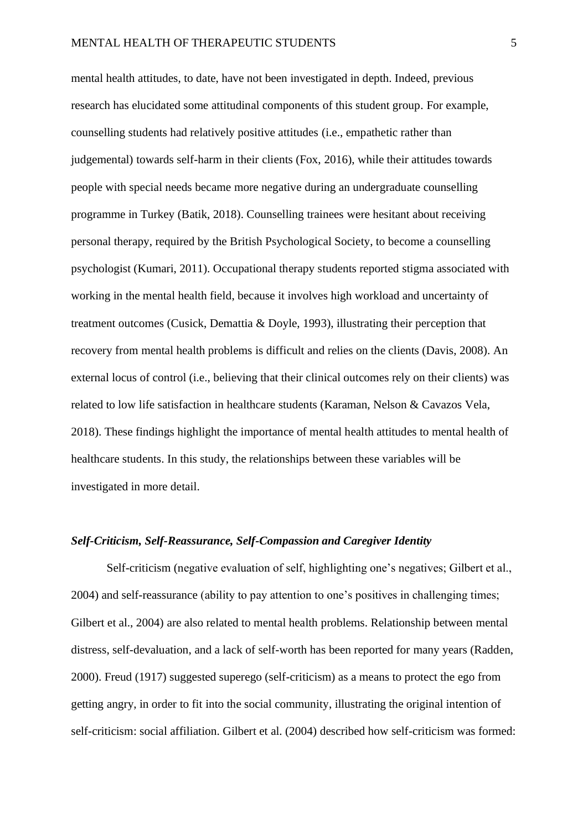mental health attitudes, to date, have not been investigated in depth. Indeed, previous research has elucidated some attitudinal components of this student group. For example, counselling students had relatively positive attitudes (i.e., empathetic rather than judgemental) towards self-harm in their clients (Fox, 2016), while their attitudes towards people with special needs became more negative during an undergraduate counselling programme in Turkey (Batik, 2018). Counselling trainees were hesitant about receiving personal therapy, required by the British Psychological Society, to become a counselling psychologist (Kumari, 2011). Occupational therapy students reported stigma associated with working in the mental health field, because it involves high workload and uncertainty of treatment outcomes (Cusick, Demattia & Doyle, 1993), illustrating their perception that recovery from mental health problems is difficult and relies on the clients (Davis, 2008). An external locus of control (i.e., believing that their clinical outcomes rely on their clients) was related to low life satisfaction in healthcare students (Karaman, Nelson & Cavazos Vela, 2018). These findings highlight the importance of mental health attitudes to mental health of healthcare students. In this study, the relationships between these variables will be investigated in more detail.

#### *Self-Criticism, Self-Reassurance, Self-Compassion and Caregiver Identity*

Self-criticism (negative evaluation of self, highlighting one's negatives; Gilbert et al., 2004) and self-reassurance (ability to pay attention to one's positives in challenging times; Gilbert et al., 2004) are also related to mental health problems. Relationship between mental distress, self-devaluation, and a lack of self-worth has been reported for many years (Radden, 2000). Freud (1917) suggested superego (self-criticism) as a means to protect the ego from getting angry, in order to fit into the social community, illustrating the original intention of self-criticism: social affiliation. Gilbert et al. (2004) described how self-criticism was formed: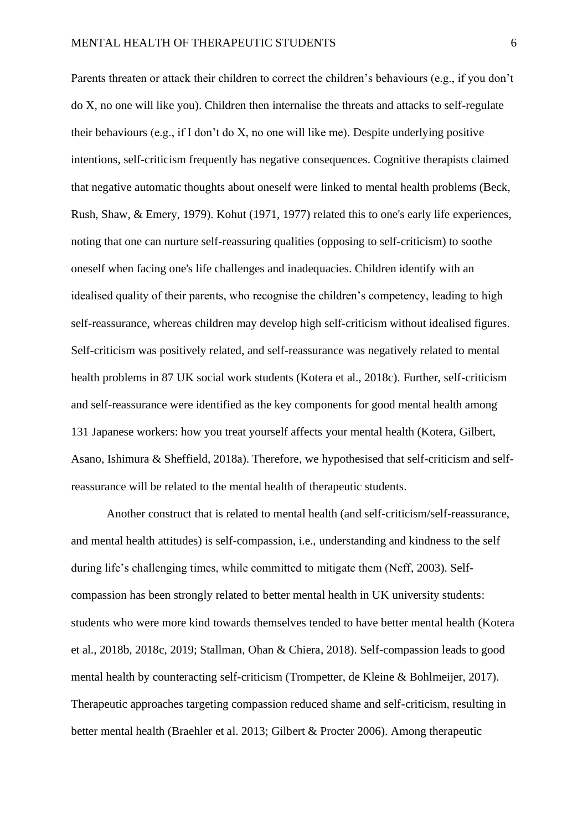Parents threaten or attack their children to correct the children's behaviours (e.g., if you don't do X, no one will like you). Children then internalise the threats and attacks to self-regulate their behaviours (e.g., if I don't do X, no one will like me). Despite underlying positive intentions, self-criticism frequently has negative consequences. Cognitive therapists claimed that negative automatic thoughts about oneself were linked to mental health problems (Beck, Rush, Shaw, & Emery, 1979). Kohut (1971, 1977) related this to one's early life experiences, noting that one can nurture self-reassuring qualities (opposing to self-criticism) to soothe oneself when facing one's life challenges and inadequacies. Children identify with an idealised quality of their parents, who recognise the children's competency, leading to high self-reassurance, whereas children may develop high self-criticism without idealised figures. Self-criticism was positively related, and self-reassurance was negatively related to mental health problems in 87 UK social work students (Kotera et al., 2018c). Further, self-criticism and self-reassurance were identified as the key components for good mental health among 131 Japanese workers: how you treat yourself affects your mental health (Kotera, Gilbert, Asano, Ishimura & Sheffield, 2018a). Therefore, we hypothesised that self-criticism and selfreassurance will be related to the mental health of therapeutic students.

Another construct that is related to mental health (and self-criticism/self-reassurance, and mental health attitudes) is self-compassion, i.e., understanding and kindness to the self during life's challenging times, while committed to mitigate them (Neff, 2003). Selfcompassion has been strongly related to better mental health in UK university students: students who were more kind towards themselves tended to have better mental health (Kotera et al., 2018b, 2018c, 2019; Stallman, Ohan & Chiera, 2018). Self-compassion leads to good mental health by counteracting self-criticism (Trompetter, de Kleine & Bohlmeijer, 2017). Therapeutic approaches targeting compassion reduced shame and self-criticism, resulting in better mental health (Braehler et al. 2013; Gilbert & Procter 2006). Among therapeutic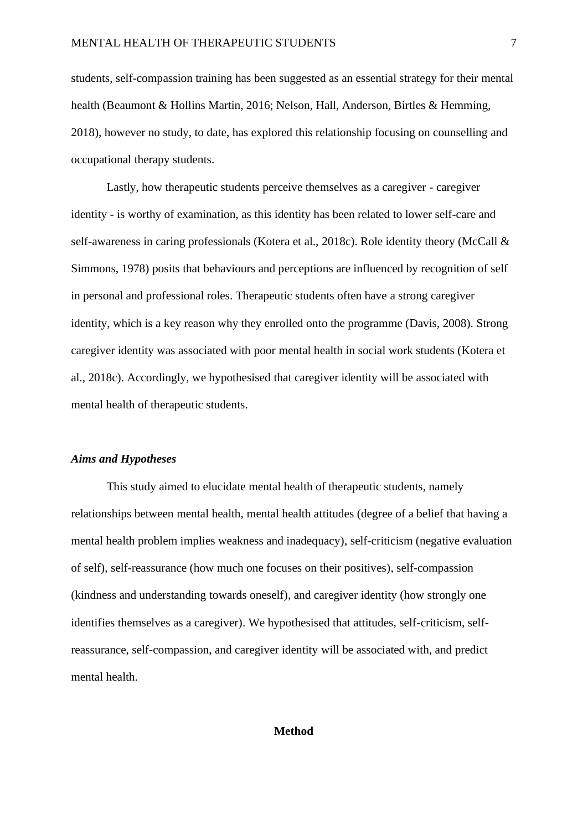students, self-compassion training has been suggested as an essential strategy for their mental health (Beaumont & Hollins Martin, 2016; Nelson, Hall, Anderson, Birtles & Hemming, 2018), however no study, to date, has explored this relationship focusing on counselling and occupational therapy students.

Lastly, how therapeutic students perceive themselves as a caregiver - caregiver identity - is worthy of examination, as this identity has been related to lower self-care and self-awareness in caring professionals (Kotera et al., 2018c). Role identity theory (McCall & Simmons, 1978) posits that behaviours and perceptions are influenced by recognition of self in personal and professional roles. Therapeutic students often have a strong caregiver identity, which is a key reason why they enrolled onto the programme (Davis, 2008). Strong caregiver identity was associated with poor mental health in social work students (Kotera et al., 2018c). Accordingly, we hypothesised that caregiver identity will be associated with mental health of therapeutic students.

#### *Aims and Hypotheses*

This study aimed to elucidate mental health of therapeutic students, namely relationships between mental health, mental health attitudes (degree of a belief that having a mental health problem implies weakness and inadequacy), self-criticism (negative evaluation of self), self-reassurance (how much one focuses on their positives), self-compassion (kindness and understanding towards oneself), and caregiver identity (how strongly one identifies themselves as a caregiver). We hypothesised that attitudes, self-criticism, selfreassurance, self-compassion, and caregiver identity will be associated with, and predict mental health.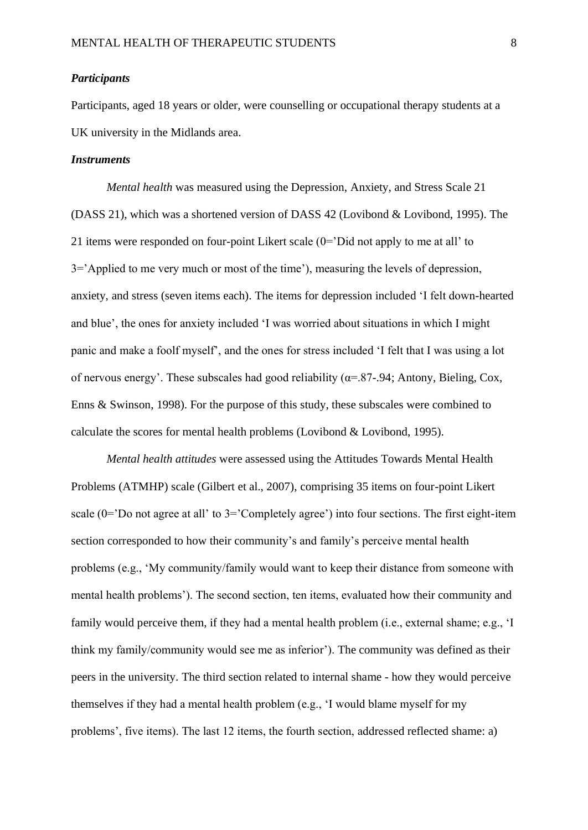#### *Participants*

Participants, aged 18 years or older, were counselling or occupational therapy students at a UK university in the Midlands area.

#### *Instruments*

*Mental health* was measured using the Depression, Anxiety, and Stress Scale 21 (DASS 21), which was a shortened version of DASS 42 (Lovibond & Lovibond, 1995). The 21 items were responded on four-point Likert scale (0='Did not apply to me at all' to 3='Applied to me very much or most of the time'), measuring the levels of depression, anxiety, and stress (seven items each). The items for depression included 'I felt down-hearted and blue', the ones for anxiety included 'I was worried about situations in which I might panic and make a foolf myself', and the ones for stress included 'I felt that I was using a lot of nervous energy'. These subscales had good reliability ( $\alpha$ =.87-.94; Antony, Bieling, Cox, Enns & Swinson, 1998). For the purpose of this study, these subscales were combined to calculate the scores for mental health problems (Lovibond  $&$  Lovibond, 1995).

*Mental health attitudes* were assessed using the Attitudes Towards Mental Health Problems (ATMHP) scale (Gilbert et al., 2007), comprising 35 items on four-point Likert scale (0='Do not agree at all' to 3='Completely agree') into four sections. The first eight-item section corresponded to how their community's and family's perceive mental health problems (e.g., 'My community/family would want to keep their distance from someone with mental health problems'). The second section, ten items, evaluated how their community and family would perceive them, if they had a mental health problem (i.e., external shame; e.g., 'I think my family/community would see me as inferior'). The community was defined as their peers in the university. The third section related to internal shame - how they would perceive themselves if they had a mental health problem (e.g., 'I would blame myself for my problems', five items). The last 12 items, the fourth section, addressed reflected shame: a)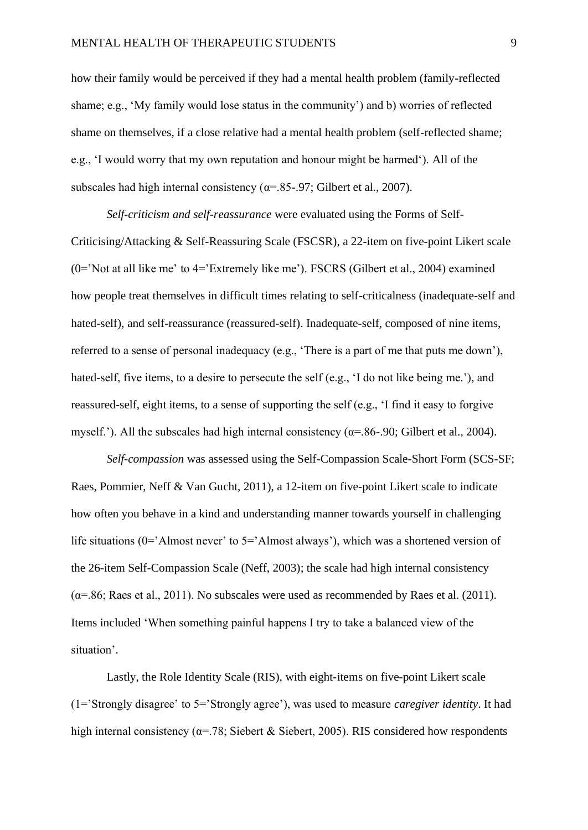how their family would be perceived if they had a mental health problem (family-reflected shame; e.g., 'My family would lose status in the community') and b) worries of reflected shame on themselves, if a close relative had a mental health problem (self-reflected shame; e.g., 'I would worry that my own reputation and honour might be harmed'). All of the subscales had high internal consistency ( $\alpha$ =.85-.97; Gilbert et al., 2007).

*Self-criticism and self-reassurance* were evaluated using the Forms of Self-Criticising/Attacking & Self-Reassuring Scale (FSCSR), a 22-item on five-point Likert scale (0='Not at all like me' to 4='Extremely like me'). FSCRS (Gilbert et al., 2004) examined how people treat themselves in difficult times relating to self-criticalness (inadequate-self and hated-self), and self-reassurance (reassured-self). Inadequate-self, composed of nine items, referred to a sense of personal inadequacy (e.g., 'There is a part of me that puts me down'), hated-self, five items, to a desire to persecute the self (e.g., 'I do not like being me.'), and reassured-self, eight items, to a sense of supporting the self (e.g., 'I find it easy to forgive myself.'). All the subscales had high internal consistency ( $\alpha$ =.86-.90; Gilbert et al., 2004).

*Self-compassion* was assessed using the Self-Compassion Scale-Short Form (SCS-SF; Raes, Pommier, Neff & Van Gucht, 2011), a 12-item on five-point Likert scale to indicate how often you behave in a kind and understanding manner towards yourself in challenging life situations (0='Almost never' to 5='Almost always'), which was a shortened version of the 26-item Self-Compassion Scale (Neff, 2003); the scale had high internal consistency  $(\alpha = 0.86;$  Raes et al., 2011). No subscales were used as recommended by Raes et al. (2011). Items included 'When something painful happens I try to take a balanced view of the situation'.

Lastly, the Role Identity Scale (RIS), with eight-items on five-point Likert scale (1='Strongly disagree' to 5='Strongly agree'), was used to measure *caregiver identity*. It had high internal consistency ( $\alpha$ =.78; Siebert & Siebert, 2005). RIS considered how respondents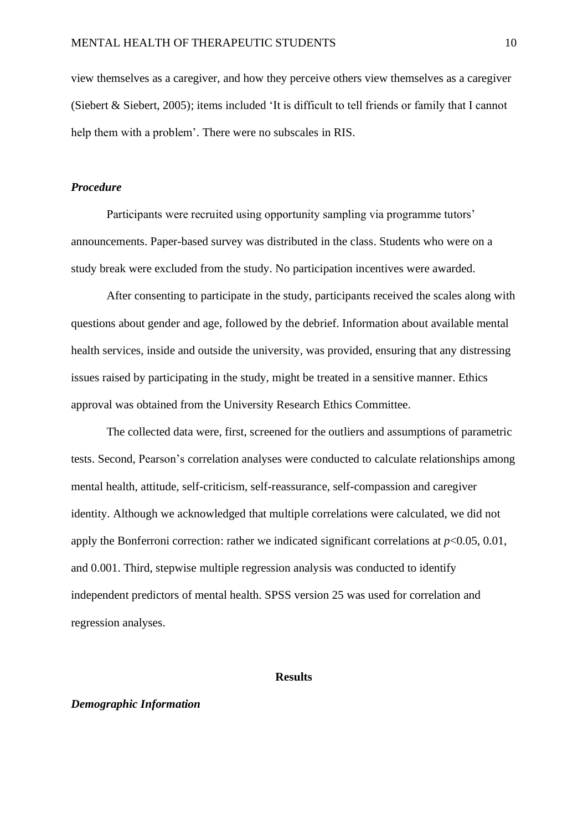view themselves as a caregiver, and how they perceive others view themselves as a caregiver (Siebert & Siebert, 2005); items included 'It is difficult to tell friends or family that I cannot help them with a problem'. There were no subscales in RIS.

#### *Procedure*

Participants were recruited using opportunity sampling via programme tutors' announcements. Paper-based survey was distributed in the class. Students who were on a study break were excluded from the study. No participation incentives were awarded.

After consenting to participate in the study, participants received the scales along with questions about gender and age, followed by the debrief. Information about available mental health services, inside and outside the university, was provided, ensuring that any distressing issues raised by participating in the study, might be treated in a sensitive manner. Ethics approval was obtained from the University Research Ethics Committee.

The collected data were, first, screened for the outliers and assumptions of parametric tests. Second, Pearson's correlation analyses were conducted to calculate relationships among mental health, attitude, self-criticism, self-reassurance, self-compassion and caregiver identity. Although we acknowledged that multiple correlations were calculated, we did not apply the Bonferroni correction: rather we indicated significant correlations at  $p<0.05$ , 0.01, and 0.001. Third, stepwise multiple regression analysis was conducted to identify independent predictors of mental health. SPSS version 25 was used for correlation and regression analyses.

#### **Results**

#### *Demographic Information*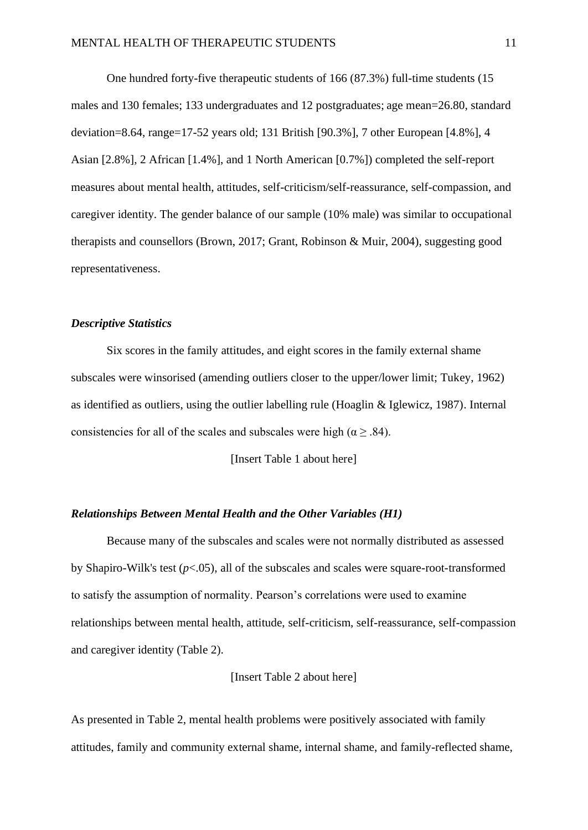One hundred forty-five therapeutic students of 166 (87.3%) full-time students (15 males and 130 females; 133 undergraduates and 12 postgraduates; age mean=26.80, standard deviation=8.64, range=17-52 years old; 131 British [90.3%], 7 other European [4.8%], 4 Asian [2.8%], 2 African [1.4%], and 1 North American [0.7%]) completed the self-report measures about mental health, attitudes, self-criticism/self-reassurance, self-compassion, and caregiver identity. The gender balance of our sample (10% male) was similar to occupational therapists and counsellors (Brown, 2017; Grant, Robinson & Muir, 2004), suggesting good representativeness.

#### *Descriptive Statistics*

Six scores in the family attitudes, and eight scores in the family external shame subscales were winsorised (amending outliers closer to the upper/lower limit; Tukey, 1962) as identified as outliers, using the outlier labelling rule (Hoaglin & Iglewicz, 1987). Internal consistencies for all of the scales and subscales were high ( $\alpha \geq .84$ ).

[Insert Table 1 about here]

#### *Relationships Between Mental Health and the Other Variables (H1)*

Because many of the subscales and scales were not normally distributed as assessed by Shapiro-Wilk's test (*p*<.05), all of the subscales and scales were square-root-transformed to satisfy the assumption of normality. Pearson's correlations were used to examine relationships between mental health, attitude, self-criticism, self-reassurance, self-compassion and caregiver identity (Table 2).

#### [Insert Table 2 about here]

As presented in Table 2, mental health problems were positively associated with family attitudes, family and community external shame, internal shame, and family-reflected shame,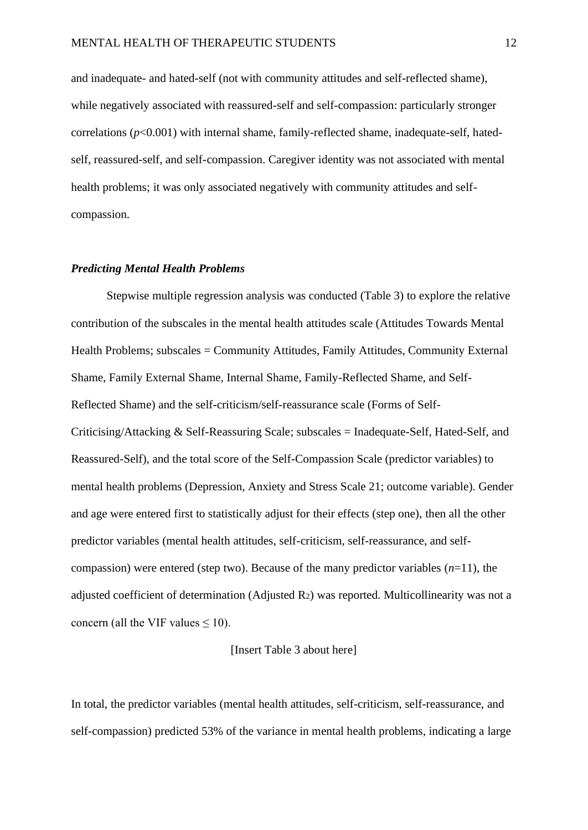and inadequate- and hated-self (not with community attitudes and self-reflected shame), while negatively associated with reassured-self and self-compassion: particularly stronger correlations (*p*<0.001) with internal shame, family-reflected shame, inadequate-self, hatedself, reassured-self, and self-compassion. Caregiver identity was not associated with mental health problems; it was only associated negatively with community attitudes and selfcompassion.

#### *Predicting Mental Health Problems*

Stepwise multiple regression analysis was conducted (Table 3) to explore the relative contribution of the subscales in the mental health attitudes scale (Attitudes Towards Mental Health Problems; subscales = Community Attitudes, Family Attitudes, Community External Shame, Family External Shame, Internal Shame, Family-Reflected Shame, and Self-Reflected Shame) and the self-criticism/self-reassurance scale (Forms of Self-Criticising/Attacking & Self-Reassuring Scale; subscales = Inadequate-Self, Hated-Self, and Reassured-Self), and the total score of the Self-Compassion Scale (predictor variables) to mental health problems (Depression, Anxiety and Stress Scale 21; outcome variable). Gender and age were entered first to statistically adjust for their effects (step one), then all the other predictor variables (mental health attitudes, self-criticism, self-reassurance, and selfcompassion) were entered (step two). Because of the many predictor variables (*n*=11), the adjusted coefficient of determination (Adjusted R2) was reported. Multicollinearity was not a concern (all the VIF values  $\leq 10$ ).

#### [Insert Table 3 about here]

In total, the predictor variables (mental health attitudes, self-criticism, self-reassurance, and self-compassion) predicted 53% of the variance in mental health problems, indicating a large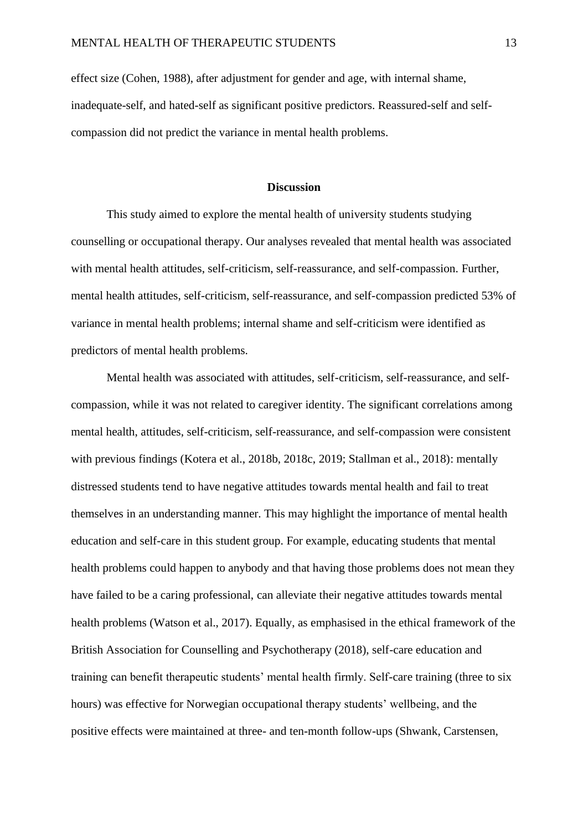effect size (Cohen, 1988), after adjustment for gender and age, with internal shame, inadequate-self, and hated-self as significant positive predictors. Reassured-self and selfcompassion did not predict the variance in mental health problems.

#### **Discussion**

This study aimed to explore the mental health of university students studying counselling or occupational therapy. Our analyses revealed that mental health was associated with mental health attitudes, self-criticism, self-reassurance, and self-compassion. Further, mental health attitudes, self-criticism, self-reassurance, and self-compassion predicted 53% of variance in mental health problems; internal shame and self-criticism were identified as predictors of mental health problems.

Mental health was associated with attitudes, self-criticism, self-reassurance, and selfcompassion, while it was not related to caregiver identity. The significant correlations among mental health, attitudes, self-criticism, self-reassurance, and self-compassion were consistent with previous findings (Kotera et al., 2018b, 2018c, 2019; Stallman et al., 2018); mentally distressed students tend to have negative attitudes towards mental health and fail to treat themselves in an understanding manner. This may highlight the importance of mental health education and self-care in this student group. For example, educating students that mental health problems could happen to anybody and that having those problems does not mean they have failed to be a caring professional, can alleviate their negative attitudes towards mental health problems (Watson et al., 2017). Equally, as emphasised in the ethical framework of the British Association for Counselling and Psychotherapy (2018), self-care education and training can benefit therapeutic students' mental health firmly. Self-care training (three to six hours) was effective for Norwegian occupational therapy students' wellbeing, and the positive effects were maintained at three- and ten-month follow-ups (Shwank, Carstensen,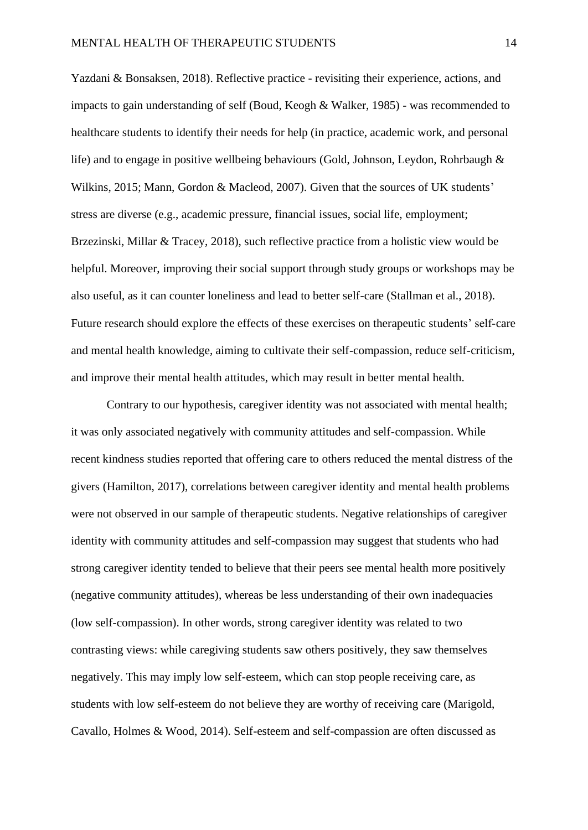Yazdani & Bonsaksen, 2018). Reflective practice - revisiting their experience, actions, and impacts to gain understanding of self (Boud, Keogh & Walker, 1985) - was recommended to healthcare students to identify their needs for help (in practice, academic work, and personal life) and to engage in positive wellbeing behaviours (Gold, Johnson, Leydon, Rohrbaugh & Wilkins, 2015; Mann, Gordon & Macleod, 2007). Given that the sources of UK students' stress are diverse (e.g., academic pressure, financial issues, social life, employment; Brzezinski, Millar & Tracey, 2018), such reflective practice from a holistic view would be helpful. Moreover, improving their social support through study groups or workshops may be also useful, as it can counter loneliness and lead to better self-care (Stallman et al., 2018). Future research should explore the effects of these exercises on therapeutic students' self-care and mental health knowledge, aiming to cultivate their self-compassion, reduce self-criticism, and improve their mental health attitudes, which may result in better mental health.

Contrary to our hypothesis, caregiver identity was not associated with mental health; it was only associated negatively with community attitudes and self-compassion. While recent kindness studies reported that offering care to others reduced the mental distress of the givers (Hamilton, 2017), correlations between caregiver identity and mental health problems were not observed in our sample of therapeutic students. Negative relationships of caregiver identity with community attitudes and self-compassion may suggest that students who had strong caregiver identity tended to believe that their peers see mental health more positively (negative community attitudes), whereas be less understanding of their own inadequacies (low self-compassion). In other words, strong caregiver identity was related to two contrasting views: while caregiving students saw others positively, they saw themselves negatively. This may imply low self-esteem, which can stop people receiving care, as students with low self-esteem do not believe they are worthy of receiving care (Marigold, Cavallo, Holmes & Wood, 2014). Self-esteem and self-compassion are often discussed as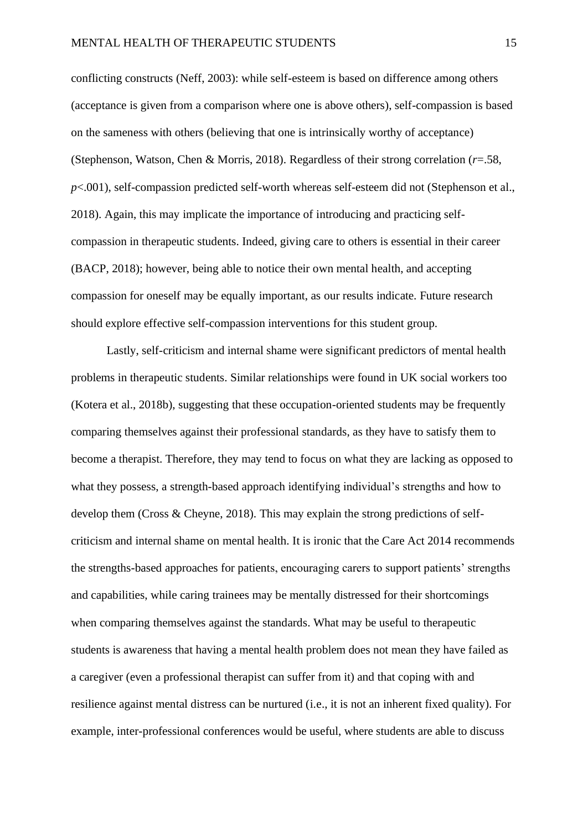conflicting constructs (Neff, 2003): while self-esteem is based on difference among others (acceptance is given from a comparison where one is above others), self-compassion is based on the sameness with others (believing that one is intrinsically worthy of acceptance) (Stephenson, Watson, Chen & Morris, 2018). Regardless of their strong correlation (*r*=.58, *p*<.001), self-compassion predicted self-worth whereas self-esteem did not (Stephenson et al., 2018). Again, this may implicate the importance of introducing and practicing selfcompassion in therapeutic students. Indeed, giving care to others is essential in their career (BACP, 2018); however, being able to notice their own mental health, and accepting compassion for oneself may be equally important, as our results indicate. Future research should explore effective self-compassion interventions for this student group.

Lastly, self-criticism and internal shame were significant predictors of mental health problems in therapeutic students. Similar relationships were found in UK social workers too (Kotera et al., 2018b), suggesting that these occupation-oriented students may be frequently comparing themselves against their professional standards, as they have to satisfy them to become a therapist. Therefore, they may tend to focus on what they are lacking as opposed to what they possess, a strength-based approach identifying individual's strengths and how to develop them (Cross & Cheyne, 2018). This may explain the strong predictions of selfcriticism and internal shame on mental health. It is ironic that the Care Act 2014 recommends the strengths-based approaches for patients, encouraging carers to support patients' strengths and capabilities, while caring trainees may be mentally distressed for their shortcomings when comparing themselves against the standards. What may be useful to therapeutic students is awareness that having a mental health problem does not mean they have failed as a caregiver (even a professional therapist can suffer from it) and that coping with and resilience against mental distress can be nurtured (i.e., it is not an inherent fixed quality). For example, inter-professional conferences would be useful, where students are able to discuss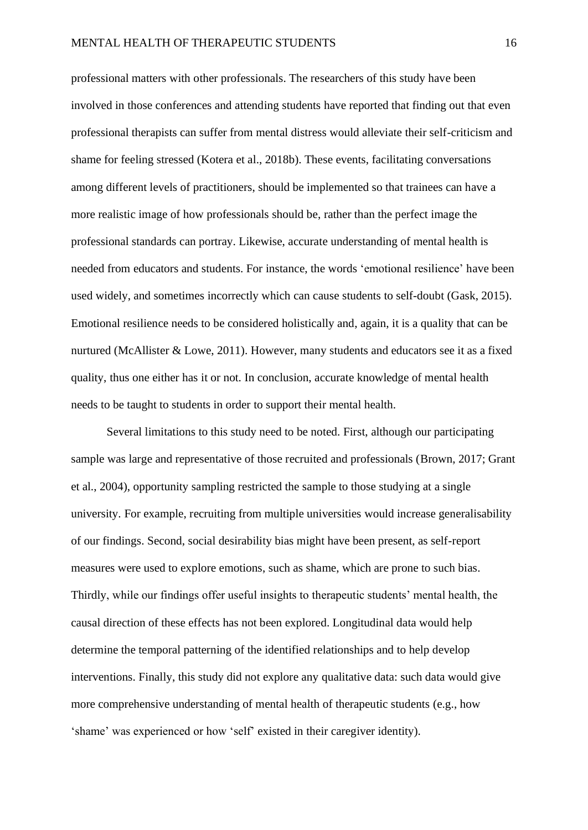professional matters with other professionals. The researchers of this study have been involved in those conferences and attending students have reported that finding out that even professional therapists can suffer from mental distress would alleviate their self-criticism and shame for feeling stressed (Kotera et al., 2018b). These events, facilitating conversations among different levels of practitioners, should be implemented so that trainees can have a more realistic image of how professionals should be, rather than the perfect image the professional standards can portray. Likewise, accurate understanding of mental health is needed from educators and students. For instance, the words 'emotional resilience' have been used widely, and sometimes incorrectly which can cause students to self-doubt (Gask, 2015). Emotional resilience needs to be considered holistically and, again, it is a quality that can be nurtured (McAllister & Lowe, 2011). However, many students and educators see it as a fixed quality, thus one either has it or not. In conclusion, accurate knowledge of mental health needs to be taught to students in order to support their mental health.

Several limitations to this study need to be noted. First, although our participating sample was large and representative of those recruited and professionals (Brown, 2017; Grant et al., 2004), opportunity sampling restricted the sample to those studying at a single university. For example, recruiting from multiple universities would increase generalisability of our findings. Second, social desirability bias might have been present, as self-report measures were used to explore emotions, such as shame, which are prone to such bias. Thirdly, while our findings offer useful insights to therapeutic students' mental health, the causal direction of these effects has not been explored. Longitudinal data would help determine the temporal patterning of the identified relationships and to help develop interventions. Finally, this study did not explore any qualitative data: such data would give more comprehensive understanding of mental health of therapeutic students (e.g., how 'shame' was experienced or how 'self' existed in their caregiver identity).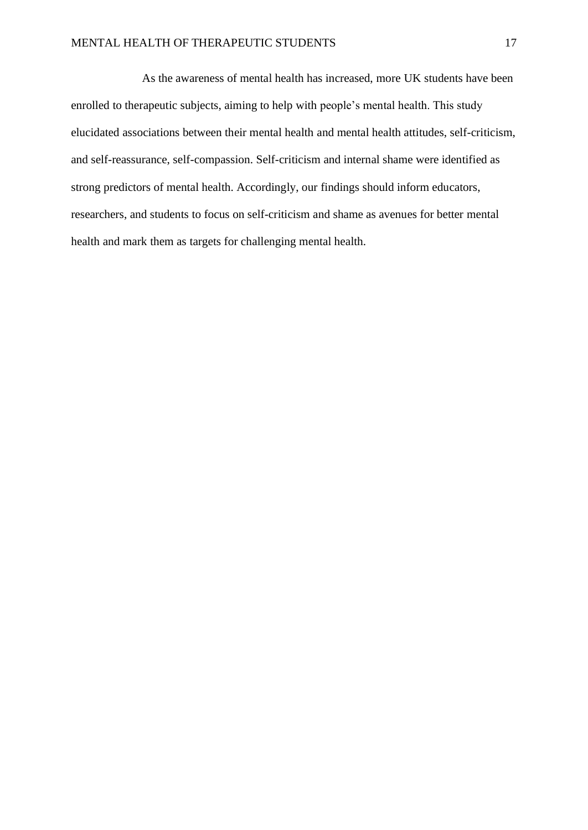As the awareness of mental health has increased, more UK students have been enrolled to therapeutic subjects, aiming to help with people's mental health. This study elucidated associations between their mental health and mental health attitudes, self-criticism, and self-reassurance, self-compassion. Self-criticism and internal shame were identified as strong predictors of mental health. Accordingly, our findings should inform educators, researchers, and students to focus on self-criticism and shame as avenues for better mental health and mark them as targets for challenging mental health.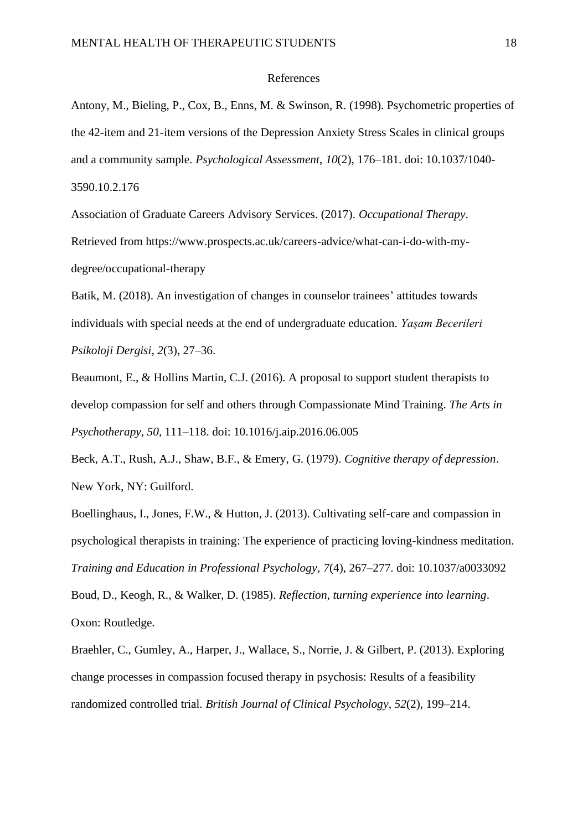#### References

Antony, M., Bieling, P., Cox, B., Enns, M. & Swinson, R. (1998). Psychometric properties of the 42-item and 21-item versions of the Depression Anxiety Stress Scales in clinical groups and a community sample. *Psychological Assessment*, *10*(2), 176–181. doi: 10.1037/1040- 3590.10.2.176

Association of Graduate Careers Advisory Services. (2017). *Occupational Therapy*. Retrieved from https://www.prospects.ac.uk/careers-advice/what-can-i-do-with-mydegree/occupational-therapy

Batik, M. (2018). An investigation of changes in counselor trainees' attitudes towards individuals with special needs at the end of undergraduate education. *Yaşam Becerileri Psikoloji Dergisi*, *2*(3), 27–36.

Beaumont, E., & Hollins Martin, C.J. (2016). A proposal to support student therapists to develop compassion for self and others through Compassionate Mind Training. *The Arts in Psychotherapy*, *50*, 111–118. doi: 10.1016/j.aip.2016.06.005

Beck, A.T., Rush, A.J., Shaw, B.F., & Emery, G. (1979). *Cognitive therapy of depression*. New York, NY: Guilford.

Boellinghaus, I., Jones, F.W., & Hutton, J. (2013). Cultivating self-care and compassion in psychological therapists in training: The experience of practicing loving-kindness meditation. *Training and Education in Professional Psychology*, *7*(4), 267–277. doi: 10.1037/a0033092

Boud, D., Keogh, R., & Walker, D. (1985). *Reflection, turning experience into learning*. Oxon: Routledge.

Braehler, C., Gumley, A., Harper, J., Wallace, S., Norrie, J. & Gilbert, P. (2013). Exploring change processes in compassion focused therapy in psychosis: Results of a feasibility randomized controlled trial. *British Journal of Clinical Psychology*, *52*(2), 199–214.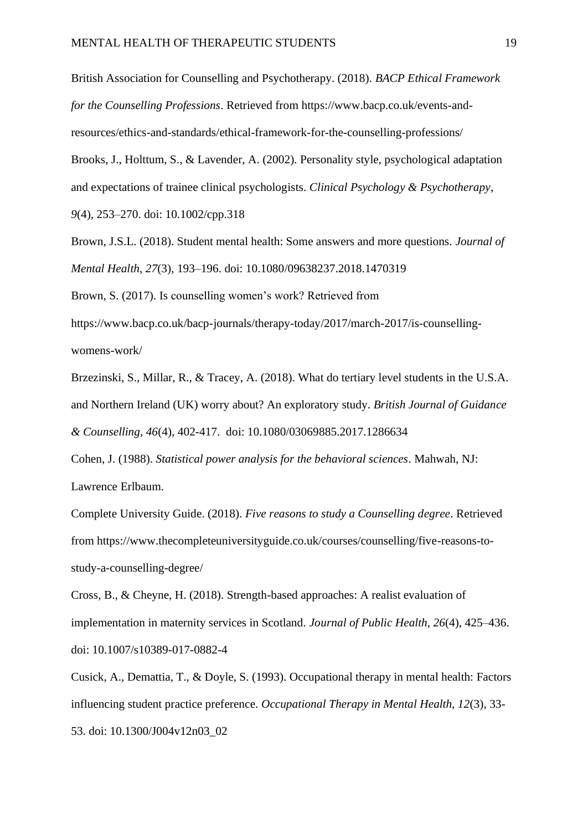British Association for Counselling and Psychotherapy. (2018). *BACP Ethical Framework for the Counselling Professions*. Retrieved from https://www.bacp.co.uk/events-andresources/ethics-and-standards/ethical-framework-for-the-counselling-professions/ Brooks, J., Holttum, S., & Lavender, A. (2002). Personality style, psychological adaptation

and expectations of trainee clinical psychologists. *Clinical Psychology & Psychotherapy*,

*9*(4), 253–270. doi: 10.1002/cpp.318

Brown, J.S.L. (2018). Student mental health: Some answers and more questions. *Journal of Mental Health*, *27*(3), 193–196. doi: 10.1080/09638237.2018.1470319

Brown, S. (2017). Is counselling women's work? Retrieved from

https://www.bacp.co.uk/bacp-journals/therapy-today/2017/march-2017/is-counsellingwomens-work/

Brzezinski, S., Millar, R., & Tracey, A. (2018). What do tertiary level students in the U.S.A. and Northern Ireland (UK) worry about? An exploratory study. *British Journal of Guidance & Counselling, 46*(4), 402-417. doi: 10.1080/03069885.2017.1286634

Cohen, J. (1988). *Statistical power analysis for the behavioral sciences*. Mahwah, NJ: Lawrence Erlbaum.

Complete University Guide. (2018). *Five reasons to study a Counselling degree*. Retrieved from https://www.thecompleteuniversityguide.co.uk/courses/counselling/five-reasons-tostudy-a-counselling-degree/

Cross, B., & Cheyne, H. (2018). Strength-based approaches: A realist evaluation of implementation in maternity services in Scotland. *Journal of Public Health*, *26*(4), 425–436. doi: 10.1007/s10389-017-0882-4

Cusick, A., Demattia, T., & Doyle, S. (1993). Occupational therapy in mental health: Factors influencing student practice preference. *Occupational Therapy in Mental Health, 12*(3), 33- 53. doi: 10.1300/J004v12n03\_02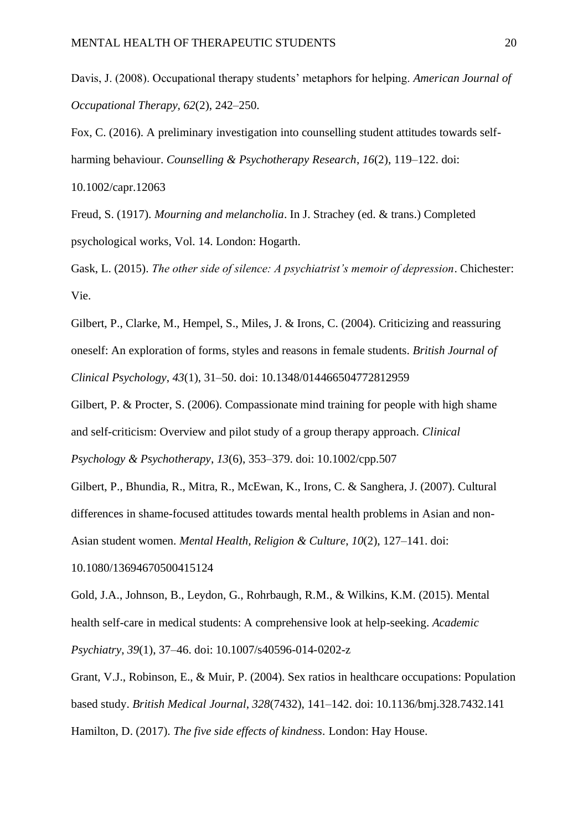Davis, J. (2008). Occupational therapy students' metaphors for helping. *American Journal of Occupational Therapy, 62*(2), 242–250.

Fox, C. (2016). A preliminary investigation into counselling student attitudes towards selfharming behaviour. *Counselling & Psychotherapy Research*, *16*(2), 119–122. doi:

10.1002/capr.12063

Freud, S. (1917). *Mourning and melancholia*. In J. Strachey (ed. & trans.) Completed psychological works, Vol. 14. London: Hogarth.

Gask, L. (2015). *The other side of silence: A psychiatrist's memoir of depression*. Chichester: Vie.

Gilbert, P., Clarke, M., Hempel, S., Miles, J. & Irons, C. (2004). Criticizing and reassuring oneself: An exploration of forms, styles and reasons in female students. *British Journal of Clinical Psychology*, *43*(1), 31–50. doi: 10.1348/014466504772812959

Gilbert, P. & Procter, S. (2006). Compassionate mind training for people with high shame and self-criticism: Overview and pilot study of a group therapy approach. *Clinical* 

*Psychology & Psychotherapy*, *13*(6), 353–379. doi: 10.1002/cpp.507

Gilbert, P., Bhundia, R., Mitra, R., McEwan, K., Irons, C. & Sanghera, J. (2007). Cultural differences in shame-focused attitudes towards mental health problems in Asian and non-Asian student women. *Mental Health, Religion & Culture*, *10*(2), 127–141. doi:

10.1080/13694670500415124

Gold, J.A., Johnson, B., Leydon, G., Rohrbaugh, R.M., & Wilkins, K.M. (2015). Mental health self-care in medical students: A comprehensive look at help-seeking. *Academic Psychiatry*, *39*(1), 37–46. doi: 10.1007/s40596-014-0202-z

Grant, V.J., Robinson, E., & Muir, P. (2004). Sex ratios in healthcare occupations: Population based study. *British Medical Journal*, *328*(7432), 141–142. doi: 10.1136/bmj.328.7432.141 Hamilton, D. (2017). *The five side effects of kindness.* London: Hay House.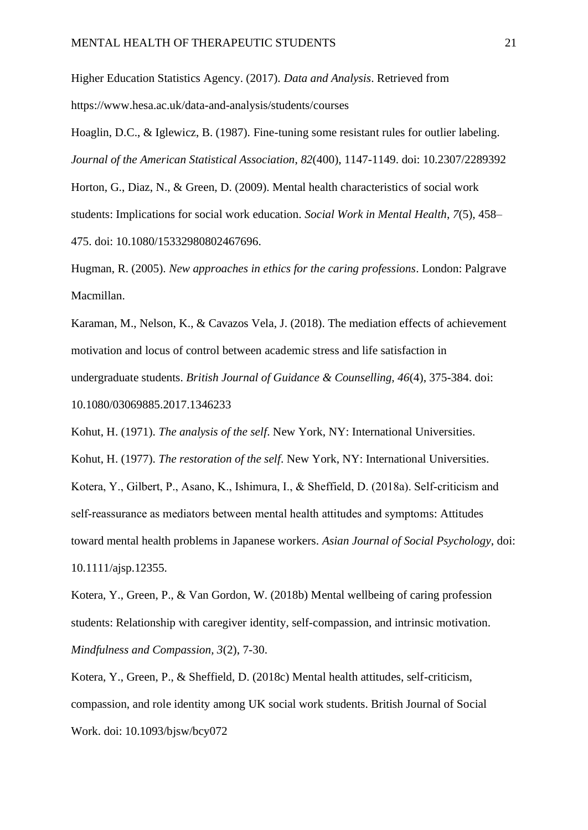Higher Education Statistics Agency. (2017). *Data and Analysis*. Retrieved from https://www.hesa.ac.uk/data-and-analysis/students/courses

Hoaglin, D.C., & Iglewicz, B. (1987). Fine-tuning some resistant rules for outlier labeling. *Journal of the American Statistical Association*, *82*(400), 1147-1149. doi: 10.2307/2289392

Horton, G., Diaz, N., & Green, D. (2009). Mental health characteristics of social work students: Implications for social work education. *Social Work in Mental Health*, *7*(5), 458– 475. doi: 10.1080/15332980802467696.

Hugman, R. (2005). *New approaches in ethics for the caring professions*. London: Palgrave Macmillan.

Karaman, M., Nelson, K., & Cavazos Vela, J. (2018). The mediation effects of achievement motivation and locus of control between academic stress and life satisfaction in undergraduate students. *British Journal of Guidance & Counselling, 46*(4), 375-384. doi: 10.1080/03069885.2017.1346233

Kohut, H. (1971). *The analysis of the self*. New York, NY: International Universities. Kohut, H. (1977). *The restoration of the self*. New York, NY: International Universities. Kotera, Y., Gilbert, P., Asano, K., Ishimura, I., & Sheffield, D. (2018a). Self-criticism and self-reassurance as mediators between mental health attitudes and symptoms: Attitudes toward mental health problems in Japanese workers. *Asian Journal of Social Psychology*, doi: 10.1111/ajsp.12355.

Kotera, Y., Green, P., & Van Gordon, W. (2018b) Mental wellbeing of caring profession students: Relationship with caregiver identity, self-compassion, and intrinsic motivation. *Mindfulness and Compassion, 3*(2), 7-30.

Kotera, Y., Green, P., & Sheffield, D. (2018c) Mental health attitudes, self-criticism, compassion, and role identity among UK social work students. British Journal of Social Work. doi: 10.1093/bjsw/bcy072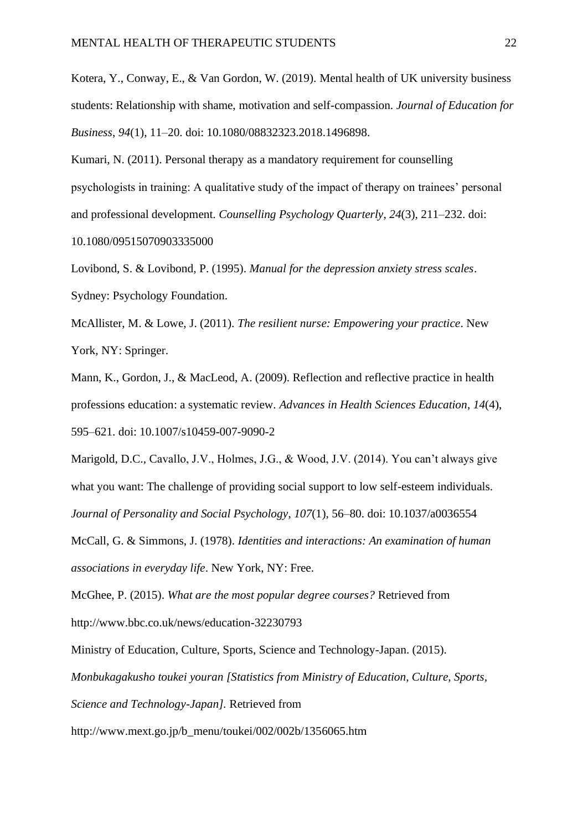Kotera, Y., Conway, E., & Van Gordon, W. (2019). Mental health of UK university business students: Relationship with shame, motivation and self-compassion. *Journal of Education for Business*, *94*(1), 11–20. doi: 10.1080/08832323.2018.1496898.

Kumari, N. (2011). Personal therapy as a mandatory requirement for counselling psychologists in training: A qualitative study of the impact of therapy on trainees' personal and professional development. *Counselling Psychology Quarterly*, *24*(3), 211–232. doi: 10.1080/09515070903335000

Lovibond, S. & Lovibond, P. (1995). *Manual for the depression anxiety stress scales*. Sydney: Psychology Foundation.

McAllister, M. & Lowe, J. (2011). *The resilient nurse: Empowering your practice*. New York, NY: Springer.

Mann, K., Gordon, J., & MacLeod, A. (2009). Reflection and reflective practice in health professions education: a systematic review. *Advances in Health Sciences Education*, *14*(4), 595–621. doi: 10.1007/s10459-007-9090-2

Marigold, D.C., Cavallo, J.V., Holmes, J.G., & Wood, J.V. (2014). You can't always give what you want: The challenge of providing social support to low self-esteem individuals. *Journal of Personality and Social Psychology*, *107*(1), 56–80. doi: 10.1037/a0036554

McCall, G. & Simmons, J. (1978). *Identities and interactions: An examination of human associations in everyday life*. New York, NY: Free.

McGhee, P. (2015). *What are the most popular degree courses?* Retrieved from http://www.bbc.co.uk/news/education-32230793

Ministry of Education, Culture, Sports, Science and Technology-Japan. (2015).

*Monbukagakusho toukei youran [Statistics from Ministry of Education, Culture, Sports,* 

*Science and Technology-Japan].* Retrieved from

http://www.mext.go.jp/b\_menu/toukei/002/002b/1356065.htm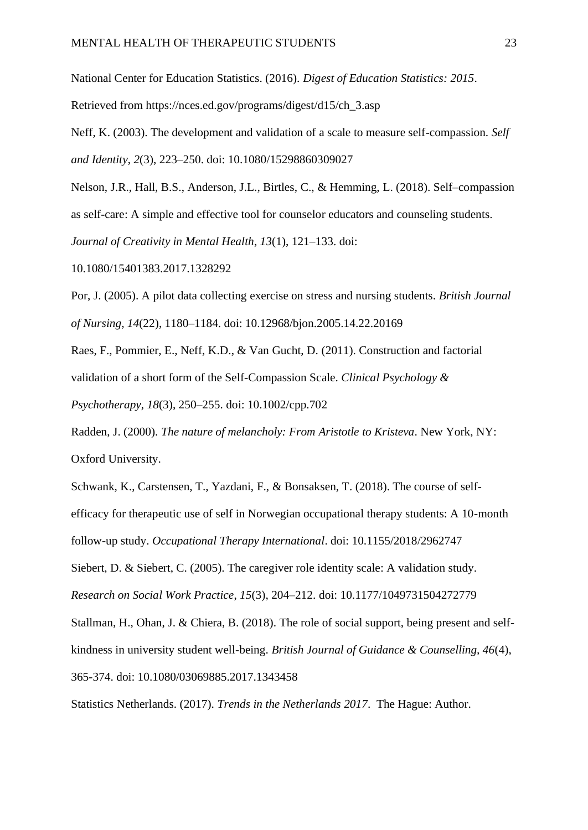National Center for Education Statistics. (2016). *Digest of Education Statistics: 2015*.

Retrieved from https://nces.ed.gov/programs/digest/d15/ch\_3.asp

Neff, K. (2003). The development and validation of a scale to measure self-compassion. *Self and Identity*, *2*(3), 223–250. doi: 10.1080/15298860309027

Nelson, J.R., Hall, B.S., Anderson, J.L., Birtles, C., & Hemming, L. (2018). Self–compassion as self-care: A simple and effective tool for counselor educators and counseling students. *Journal of Creativity in Mental Health*, *13*(1), 121–133. doi:

10.1080/15401383.2017.1328292

Por, J. (2005). A pilot data collecting exercise on stress and nursing students. *British Journal of Nursing*, *14*(22), 1180–1184. doi: 10.12968/bjon.2005.14.22.20169

Raes, F., Pommier, E., Neff, K.D., & Van Gucht, D. (2011). Construction and factorial validation of a short form of the Self-Compassion Scale. *Clinical Psychology & Psychotherapy*, *18*(3), 250–255. doi: 10.1002/cpp.702

Radden, J. (2000). *The nature of melancholy: From Aristotle to Kristeva*. New York, NY: Oxford University.

Schwank, K., Carstensen, T., Yazdani, F., & Bonsaksen, T. (2018). The course of selfefficacy for therapeutic use of self in Norwegian occupational therapy students: A 10-month follow-up study. *Occupational Therapy International*. doi: 10.1155/2018/2962747 Siebert, D. & Siebert, C. (2005). The caregiver role identity scale: A validation study. *Research on Social Work Practice*, *15*(3), 204–212. doi: 10.1177/1049731504272779 Stallman, H., Ohan, J. & Chiera, B. (2018). The role of social support, being present and selfkindness in university student well-being. *British Journal of Guidance & Counselling, 46*(4), 365-374. doi: 10.1080/03069885.2017.1343458

Statistics Netherlands. (2017). *Trends in the Netherlands 2017*. The Hague: Author.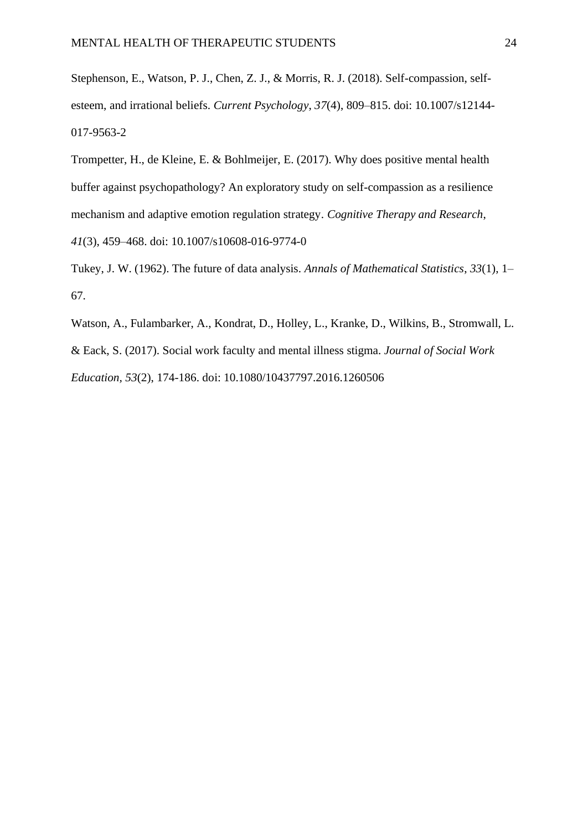Stephenson, E., Watson, P. J., Chen, Z. J., & Morris, R. J. (2018). Self-compassion, selfesteem, and irrational beliefs. *Current Psychology*, *37*(4), 809–815. doi: 10.1007/s12144- 017-9563-2

Trompetter, H., de Kleine, E. & Bohlmeijer, E. (2017). Why does positive mental health buffer against psychopathology? An exploratory study on self-compassion as a resilience mechanism and adaptive emotion regulation strategy. *Cognitive Therapy and Research*, *41*(3), 459–468. doi: 10.1007/s10608-016-9774-0

Tukey, J. W. (1962). The future of data analysis. *Annals of Mathematical Statistics*, *33*(1), 1– 67.

Watson, A., Fulambarker, A., Kondrat, D., Holley, L., Kranke, D., Wilkins, B., Stromwall, L. & Eack, S. (2017). Social work faculty and mental illness stigma. *Journal of Social Work Education, 53*(2), 174-186. doi: 10.1080/10437797.2016.1260506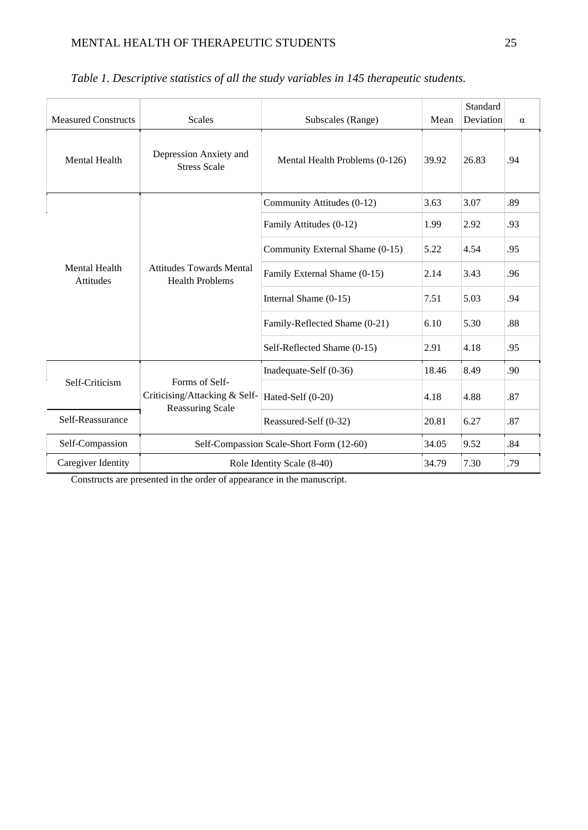| <b>Measured Constructs</b>               | <b>Scales</b>                                             | Mean                                     | Standard<br>Deviation | $\alpha$ |     |
|------------------------------------------|-----------------------------------------------------------|------------------------------------------|-----------------------|----------|-----|
| <b>Mental Health</b>                     | Depression Anxiety and<br><b>Stress Scale</b>             | Mental Health Problems (0-126)           | 39.92                 | 26.83    | .94 |
|                                          |                                                           | Community Attitudes (0-12)               | 3.63                  | 3.07     | .89 |
|                                          |                                                           | Family Attitudes (0-12)                  | 1.99                  | 2.92     | .93 |
| <b>Mental Health</b><br><b>Attitudes</b> | <b>Attitudes Towards Mental</b><br><b>Health Problems</b> | Community External Shame (0-15)          | 5.22                  | 4.54     | .95 |
|                                          |                                                           | Family External Shame (0-15)             | 2.14                  | 3.43     | .96 |
|                                          |                                                           | Internal Shame (0-15)                    | 7.51                  | 5.03     | .94 |
|                                          |                                                           | Family-Reflected Shame (0-21)            | 6.10                  | 5.30     | .88 |
|                                          |                                                           | Self-Reflected Shame (0-15)              | 2.91                  | 4.18     | .95 |
| Self-Criticism                           | Forms of Self-                                            | Inadequate-Self (0-36)                   | 18.46                 | 8.49     | .90 |
|                                          | Criticising/Attacking & Self-                             | Hated-Self (0-20)                        | 4.18                  | 4.88     | .87 |
| Self-Reassurance                         | <b>Reassuring Scale</b>                                   | Reassured-Self (0-32)                    | 20.81                 | 6.27     | .87 |
| Self-Compassion                          |                                                           | Self-Compassion Scale-Short Form (12-60) | 34.05                 | 9.52     | .84 |
| Caregiver Identity                       | Role Identity Scale (8-40)                                | 34.79                                    | 7.30                  | .79      |     |

# *Table 1. Descriptive statistics of all the study variables in 145 therapeutic students.*

Constructs are presented in the order of appearance in the manuscript.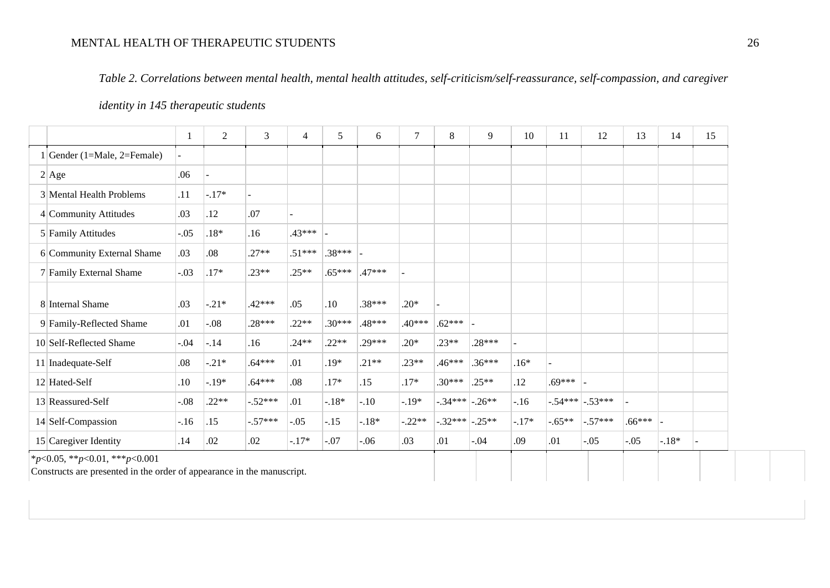## MENTAL HEALTH OF THERAPEUTIC STUDENTS 26

*Table 2. Correlations between mental health, mental health attitudes, self-criticism/self-reassurance, self-compassion, and caregiver* 

### *identity in 145 therapeutic students*

|                            | 1       | 2       | 3         | $\overline{4}$ | 5          | 6        | $\overline{7}$ | 8                | 9        | 10      | 11       | 12                  | 13         | 14      | 15 |
|----------------------------|---------|---------|-----------|----------------|------------|----------|----------------|------------------|----------|---------|----------|---------------------|------------|---------|----|
| Gender (1=Male, 2=Female)  |         |         |           |                |            |          |                |                  |          |         |          |                     |            |         |    |
| 2 Age                      | .06     |         |           |                |            |          |                |                  |          |         |          |                     |            |         |    |
| 3 Mental Health Problems   | .11     | $-.17*$ |           |                |            |          |                |                  |          |         |          |                     |            |         |    |
| 4 Community Attitudes      | .03     | .12     | .07       |                |            |          |                |                  |          |         |          |                     |            |         |    |
| 5 Family Attitudes         | $-.05$  | $.18*$  | .16       | $.43***$       |            |          |                |                  |          |         |          |                     |            |         |    |
| 6 Community External Shame | .03     | .08     | $.27**$   | $.51***$       | $.38***$ - |          |                |                  |          |         |          |                     |            |         |    |
| 7 Family External Shame    | $-.03$  | $.17*$  | $.23**$   | $.25**$        | $.65***$   | $.47***$ |                |                  |          |         |          |                     |            |         |    |
| 8 Internal Shame           | .03     | $-.21*$ | $.42***$  | .05            | .10        | $.38***$ | $.20*$         |                  |          |         |          |                     |            |         |    |
| 9 Family-Reflected Shame   | .01     | $-.08$  | $.28***$  | $.22**$        | $.30***$   | .48***   | $.40***$       | $.62***$         |          |         |          |                     |            |         |    |
| 10 Self-Reflected Shame    | $-0.04$ | $-.14$  | .16       | $.24**$        | $.22**$    | $.29***$ | $.20*$         | $.23**$          | $.28***$ |         |          |                     |            |         |    |
| 11 Inadequate-Self         | .08     | $-.21*$ | $.64***$  | .01            | .19*       | $.21**$  | $.23**$        | $.46***$         | $.36***$ | $.16*$  |          |                     |            |         |    |
| 12 Hated-Self              | .10     | $-.19*$ | $.64***$  | .08            | $.17*$     | .15      | $.17*$         | $.30***$         | $.25**$  | .12     | $.69***$ |                     |            |         |    |
| 13 Reassured-Self          | $-0.08$ | $.22**$ | $-.52***$ | .01            | $-.18*$    | $-.10$   | $-.19*$        | $-.34***$ -.26** |          | $-.16$  |          | $-.54***$ $-.53***$ |            |         |    |
| 14 Self-Compassion         | $-.16$  | .15     | $-.57***$ | $-.05$         | $-.15$     | $-.18*$  | $-0.22**$      | $-.32***$ -.25** |          | $-.17*$ | $-.65**$ | $-.57***$           | $.66***$ - |         |    |
| $15$ Caregiver Identity    | .14     | .02     | .02       | $-.17*$        | $-.07$     | $-.06$   | .03            | .01              | $-.04$   | .09     | .01      | $-.05$              | $-.05$     | $-.18*$ |    |